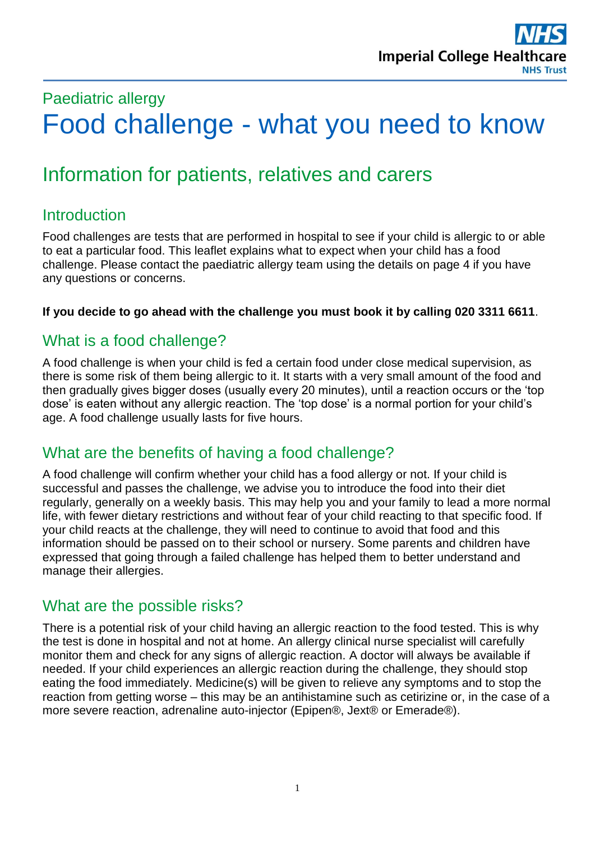# Paediatric allergy Food challenge - what you need to know

# Information for patients, relatives and carers

## **Introduction**

Food challenges are tests that are performed in hospital to see if your child is allergic to or able to eat a particular food. This leaflet explains what to expect when your child has a food challenge. Please contact the paediatric allergy team using the details on page 4 if you have any questions or concerns.

#### **If you decide to go ahead with the challenge you must book it by calling 020 3311 6611**.

### What is a food challenge?

A food challenge is when your child is fed a certain food under close medical supervision, as there is some risk of them being allergic to it. It starts with a very small amount of the food and then gradually gives bigger doses (usually every 20 minutes), until a reaction occurs or the 'top dose' is eaten without any allergic reaction. The 'top dose' is a normal portion for your child's age. A food challenge usually lasts for five hours.

### What are the benefits of having a food challenge?

A food challenge will confirm whether your child has a food allergy or not. If your child is successful and passes the challenge, we advise you to introduce the food into their diet regularly, generally on a weekly basis. This may help you and your family to lead a more normal life, with fewer dietary restrictions and without fear of your child reacting to that specific food. If your child reacts at the challenge, they will need to continue to avoid that food and this information should be passed on to their school or nursery. Some parents and children have expressed that going through a failed challenge has helped them to better understand and manage their allergies.

#### What are the possible risks?

There is a potential risk of your child having an allergic reaction to the food tested. This is why the test is done in hospital and not at home. An allergy clinical nurse specialist will carefully monitor them and check for any signs of allergic reaction. A doctor will always be available if needed. If your child experiences an allergic reaction during the challenge, they should stop eating the food immediately. Medicine(s) will be given to relieve any symptoms and to stop the reaction from getting worse – this may be an antihistamine such as cetirizine or, in the case of a more severe reaction, adrenaline auto-injector (Epipen®, Jext® or Emerade®).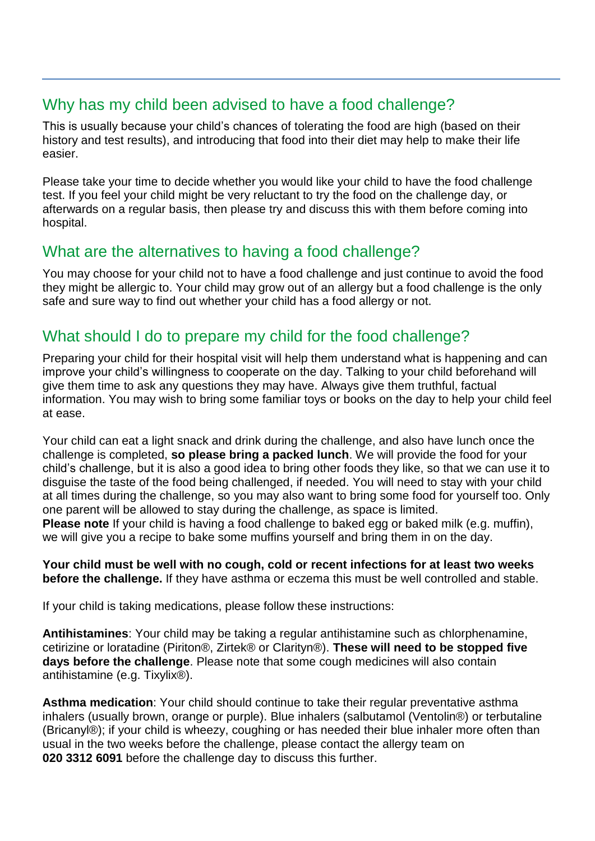### Why has my child been advised to have a food challenge?

This is usually because your child's chances of tolerating the food are high (based on their history and test results), and introducing that food into their diet may help to make their life easier.

Please take your time to decide whether you would like your child to have the food challenge test. If you feel your child might be very reluctant to try the food on the challenge day, or afterwards on a regular basis, then please try and discuss this with them before coming into hospital.

# What are the alternatives to having a food challenge?

You may choose for your child not to have a food challenge and just continue to avoid the food they might be allergic to. Your child may grow out of an allergy but a food challenge is the only safe and sure way to find out whether your child has a food allergy or not.

## What should I do to prepare my child for the food challenge?

Preparing your child for their hospital visit will help them understand what is happening and can improve your child's willingness to cooperate on the day. Talking to your child beforehand will give them time to ask any questions they may have. Always give them truthful, factual information. You may wish to bring some familiar toys or books on the day to help your child feel at ease.

Your child can eat a light snack and drink during the challenge, and also have lunch once the challenge is completed, **so please bring a packed lunch**. We will provide the food for your child's challenge, but it is also a good idea to bring other foods they like, so that we can use it to disguise the taste of the food being challenged, if needed. You will need to stay with your child at all times during the challenge, so you may also want to bring some food for yourself too. Only one parent will be allowed to stay during the challenge, as space is limited. **Please note** If your child is having a food challenge to baked egg or baked milk (e.g. muffin), we will give you a recipe to bake some muffins yourself and bring them in on the day.

**Your child must be well with no cough, cold or recent infections for at least two weeks before the challenge.** If they have asthma or eczema this must be well controlled and stable.

If your child is taking medications, please follow these instructions:

**Antihistamines**: Your child may be taking a regular antihistamine such as chlorphenamine, cetirizine or loratadine (Piriton®, Zirtek® or Clarityn®). **These will need to be stopped five days before the challenge**. Please note that some cough medicines will also contain antihistamine (e.g. Tixylix®).

**Asthma medication**: Your child should continue to take their regular preventative asthma inhalers (usually brown, orange or purple). Blue inhalers (salbutamol (Ventolin®) or terbutaline (Bricanyl®); if your child is wheezy, coughing or has needed their blue inhaler more often than usual in the two weeks before the challenge, please contact the allergy team on **020 3312 6091** before the challenge day to discuss this further.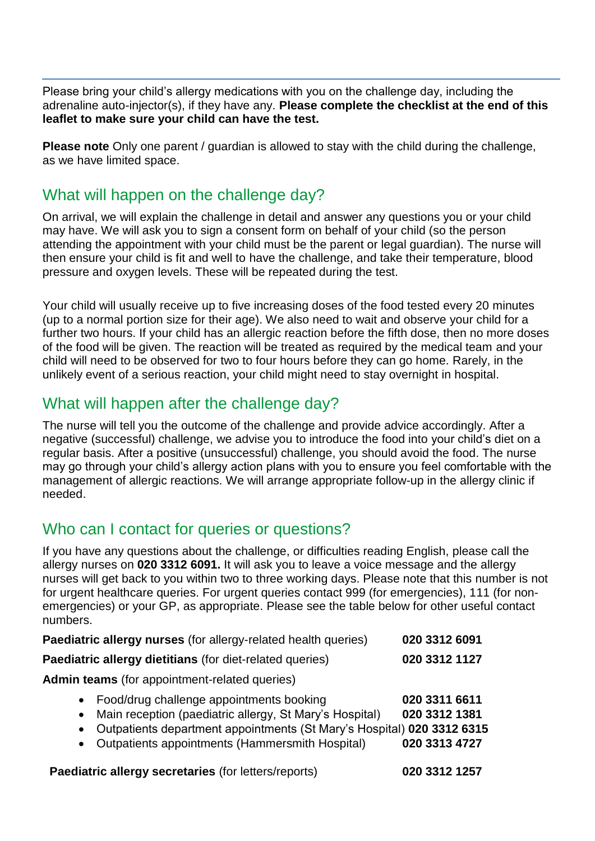Please bring your child's allergy medications with you on the challenge day, including the adrenaline auto-injector(s), if they have any. **Please complete the checklist at the end of this leaflet to make sure your child can have the test.** 

**Please note** Only one parent / guardian is allowed to stay with the child during the challenge, as we have limited space.

#### What will happen on the challenge day?

On arrival, we will explain the challenge in detail and answer any questions you or your child may have. We will ask you to sign a consent form on behalf of your child (so the person attending the appointment with your child must be the parent or legal guardian). The nurse will then ensure your child is fit and well to have the challenge, and take their temperature, blood pressure and oxygen levels. These will be repeated during the test.

Your child will usually receive up to five increasing doses of the food tested every 20 minutes (up to a normal portion size for their age). We also need to wait and observe your child for a further two hours. If your child has an allergic reaction before the fifth dose, then no more doses of the food will be given. The reaction will be treated as required by the medical team and your child will need to be observed for two to four hours before they can go home. Rarely, in the unlikely event of a serious reaction, your child might need to stay overnight in hospital.

#### What will happen after the challenge day?

The nurse will tell you the outcome of the challenge and provide advice accordingly. After a negative (successful) challenge, we advise you to introduce the food into your child's diet on a regular basis. After a positive (unsuccessful) challenge, you should avoid the food. The nurse may go through your child's allergy action plans with you to ensure you feel comfortable with the management of allergic reactions. We will arrange appropriate follow-up in the allergy clinic if needed.

#### Who can I contact for queries or questions?

If you have any questions about the challenge, or difficulties reading English, please call the allergy nurses on **020 3312 6091.** It will ask you to leave a voice message and the allergy nurses will get back to you within two to three working days. Please note that this number is not for urgent healthcare queries. For urgent queries contact 999 (for emergencies), 111 (for nonemergencies) or your GP, as appropriate. Please see the table below for other useful contact numbers.

| Paediatric allergy nurses (for allergy-related health queries)                                                                                                                                                                                                            | 020 3312 6091                                   |
|---------------------------------------------------------------------------------------------------------------------------------------------------------------------------------------------------------------------------------------------------------------------------|-------------------------------------------------|
| Paediatric allergy dietitians (for diet-related queries)                                                                                                                                                                                                                  | 020 3312 1127                                   |
| <b>Admin teams</b> (for appointment-related queries)                                                                                                                                                                                                                      |                                                 |
| • Food/drug challenge appointments booking<br>Main reception (paediatric allergy, St Mary's Hospital)<br>$\bullet$<br>Outpatients department appointments (St Mary's Hospital) 020 3312 6315<br>$\bullet$<br>Outpatients appointments (Hammersmith Hospital)<br>$\bullet$ | 020 3311 6611<br>020 3312 1381<br>020 3313 4727 |
| Paediatric allergy secretaries (for letters/reports)                                                                                                                                                                                                                      | 020 3312 1257                                   |